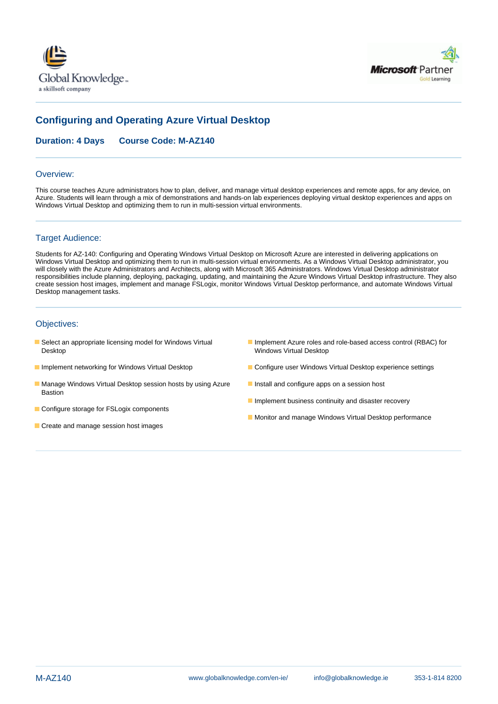



# **Configuring and Operating Azure Virtual Desktop**

## **Duration: 4 Days Course Code: M-AZ140**

#### Overview:

This course teaches Azure administrators how to plan, deliver, and manage virtual desktop experiences and remote apps, for any device, on Azure. Students will learn through a mix of demonstrations and hands-on lab experiences deploying virtual desktop experiences and apps on Windows Virtual Desktop and optimizing them to run in multi-session virtual environments.

#### Target Audience:

Students for AZ-140: Configuring and Operating Windows Virtual Desktop on Microsoft Azure are interested in delivering applications on Windows Virtual Desktop and optimizing them to run in multi-session virtual environments. As a Windows Virtual Desktop administrator, you will closely with the Azure Administrators and Architects, along with Microsoft 365 Administrators. Windows Virtual Desktop administrator responsibilities include planning, deploying, packaging, updating, and maintaining the Azure Windows Virtual Desktop infrastructure. They also create session host images, implement and manage FSLogix, monitor Windows Virtual Desktop performance, and automate Windows Virtual Desktop management tasks.

#### Objectives:

- Desktop Windows Virtual Desktop
- 
- Manage Windows Virtual Desktop session hosts by using Azure Install and configure apps on a session host Bastion
- Configure storage for FSLogix components
- Create and manage session host images
- Select an appropriate licensing model for Windows Virtual Implement Azure roles and role-based access control (RBAC) for
- **Implement networking for Windows Virtual Desktop Configure user Windows Virtual Desktop experience settings Configure user Windows Virtual Desktop experience settings** 
	-
	- **Implement business continuity and disaster recovery**
	- Monitor and manage Windows Virtual Desktop performance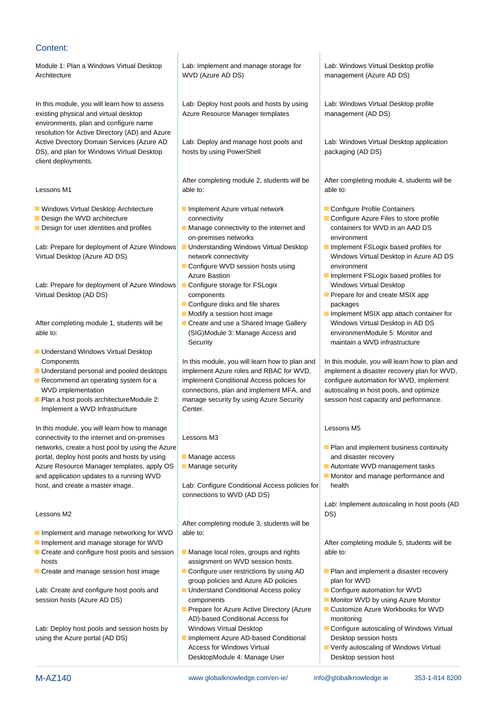### Content:

Module 1: Plan a Windows Virtual Desktop Lab: Implement and manage storage for Lab: Windows Virtual Desktop profile Architecture WVD (Azure AD DS) management (Azure AD DS)

In this module, you will learn how to assess Lab: Deploy host pools and hosts by using Lab: Windows Virtual Desktop profile existing physical and virtual desktop Azure Resource Manager templates management (AD DS) environments, plan and configure name resolution for Active Directory (AD) and Azure Active Directory Domain Services (Azure AD Lab: Deploy and manage host pools and Lab: Windows Virtual Desktop application DS), and plan for Windows Virtual Desktop hosts by using PowerShell packaging (AD DS) client deployments.

- $\blacksquare$  Windows Virtual Desktop Architecture  $\blacksquare$  Implement Azure virtual network  $\blacksquare$  Configure Profile Containers
- 
- 

Lab: Prepare for deployment of Azure Windows III Understanding Windows Virtual Desktop III Implement FSLogix based profiles for Virtual Desktop (Azure AD DS) network connectivity Windows Virtual Desktop in Azure AD DS

Lab: Prepare for deployment of Azure Windows Configure storage for FSLogix Windows Virtual Desktop Virtual Desktop (AD DS) components example in the components Prepare for and create MSIX app

able to: (SIG)Module 3: Manage Access and environmenModule 5: Monitor and

- **Understand Windows Virtual Desktop**
- 
- 
- Implement a WVD Infrastructure Center.

In this module, you will learn how to manage **Lessons M5** Lessons M5 connectivity to the internet and on-premises Lessons M3 networks, create a host pool by using the Azure line Plan and implement business continuity portal, deploy host pools and hosts by using Manage access and disaster recovery Azure Resource Manager templates, apply OS Manage security Management tasks and application updates to a running WVD Monitor and manage performance and manage performance and host, and create a master image. Lab: Configure Conditional Access policies for health

#### Lessons M2 DS) and the contract of the contract of the contract of the contract of the contract of the contract of the contract of the contract of the contract of the contract of the contract of the contract of the contrac

- Implement and manage networking for WVD  $\parallel$  able to:
- 
- Create and configure host pools and session Manage local roles, groups and rights able to: hosts assignment on WVD session hosts.
- 

Lab: Create and configure host pools and Understand Conditional Access policy Configure automation for WVD session hosts (Azure AD DS) components Components Monitor WVD by using Azure Monitor WVD by using Azure Monitor

Lab: Deploy host pools and session hosts by Windows Virtual Desktop Configure autoscaling of Windows Virtual using the Azure portal (AD DS) **IMPLEMIE IMPLEMIE ALTA CONDUCTS** In Desktop session hosts

line line line

line line line

Lessons M1 able to: able to: able to: able to: able to: able to: able to: able to: able to: able to: able to: able to: able to: able to: able to: able to: able to: able to: able to: able to: able to: able to: able to: able

- 
- on-premises networks environment
- 
- **Configure WVD session hosts using Figure 10 Servironment**
- 
- **Configure disks and file shares** packages
- 
- After completing module 1, students will be Create and use a Shared Image Gallery Windows Virtual Desktop in AD DS **Security** maintain a WVD infrastructure

Components **In this module, you will learn how to plan and** In this module, you will learn how to plan and ■ Understand personal and pooled desktops implement Azure roles and RBAC for WVD, implement a disaster recovery plan for WVD, Recommend an operating system for a implement Conditional Access policies for configure automation for WVD, implement WVD implementation example in connections, plan and implement MFA, and autoscaling in host pools, and optimize **Plan a host pools architectureModule 2:** example security by using Azure Security session host capacity and performance.

- 
- 

connections to WVD (AD DS)

After completing module 3, students will be

- 
- group policies and Azure AD policies plan for WVD
- 
- AD)-based Conditional Access for monitoring
- Access for Windows Virtual Verify autoscaling of Windows Virtual DesktopModule 4: Manage User Desktop session host

After completing module 2, students will be After completing module 4, students will be

- 
- **Design the WVD architecture** connectivity connectivity **Configure Azure Files to store profile** Design for user identities and profiles  $\blacksquare$  Manage connectivity to the internet and containers for WVD in an AAD DS
	-
	- Azure Bastion **Implement FSLogix based profiles for** 
		-
	- Modify a session host image Implement MSIX app attach container for

- 
- 
- 

Lab: Implement autoscaling in host pools (AD

Implement and manage storage for WVD line After completing module 5, students will be a line After completing module 5, students will be

- Create and manage session host image Configure user restrictions by using AD Plan and implement a disaster recovery
	-
	- Prepare for Azure Active Directory (Azure │ Customize Azure Workbooks for WVD
		-
		-